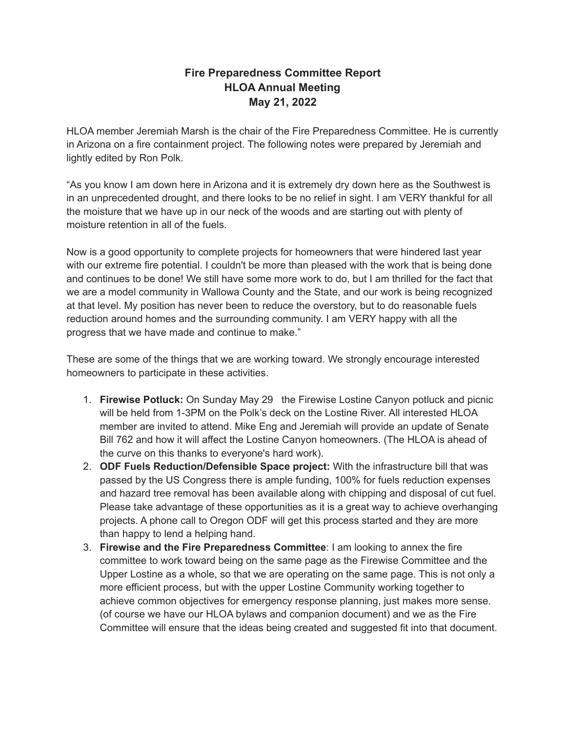## **Fire Preparedness Committee Report HLOA Annual Meeting May 21, 2022**

HLOA member Jeremiah Marsh is the chair of the Fire Preparedness Committee. He is currently in Arizona on a fire containment project. The following notes were prepared by Jeremiah and lightly edited by Ron Polk.

"As you know I am down here in Arizona and it is extremely dry down here as the Southwest is in an unprecedented drought, and there looks to be no relief in sight. I am VERY thankful for all the moisture that we have up in our neck of the woods and are starting out with plenty of moisture retention in all of the fuels.

Now is a good opportunity to complete projects for homeowners that were hindered last year with our extreme fire potential. I couldn't be more than pleased with the work that is being done and continues to be done! We still have some more work to do, but I am thrilled for the fact that we are a model community in Wallowa County and the State, and our work is being recognized at that level. My position has never been to reduce the overstory, but to do reasonable fuels reduction around homes and the surrounding community. I am VERY happy with all the progress that we have made and continue to make."

These are some of the things that we are working toward. We strongly encourage interested homeowners to participate in these activities.

- 1. **Firewise Potluck:** On Sunday May 29 the Firewise Lostine Canyon potluck and picnic will be held from 1-3PM on the Polk's deck on the Lostine River. All interested HLOA member are invited to attend. Mike Eng and Jeremiah will provide an update of Senate Bill 762 and how it will affect the Lostine Canyon homeowners. (The HLOA is ahead of the curve on this thanks to everyone's hard work).
- 2. **ODF Fuels Reduction/Defensible Space project:** With the infrastructure bill that was passed by the US Congress there is ample funding, 100% for fuels reduction expenses and hazard tree removal has been available along with chipping and disposal of cut fuel. Please take advantage of these opportunities as it is a great way to achieve overhanging projects. A phone call to Oregon ODF will get this process started and they are more than happy to lend a helping hand.
- 3. **Firewise and the Fire Preparedness Committee**: I am looking to annex the fire committee to work toward being on the same page as the Firewise Committee and the Upper Lostine as a whole, so that we are operating on the same page. This is not only a more efficient process, but with the upper Lostine Community working together to achieve common objectives for emergency response planning, just makes more sense. (of course we have our HLOA bylaws and companion document) and we as the Fire Committee will ensure that the ideas being created and suggested fit into that document.